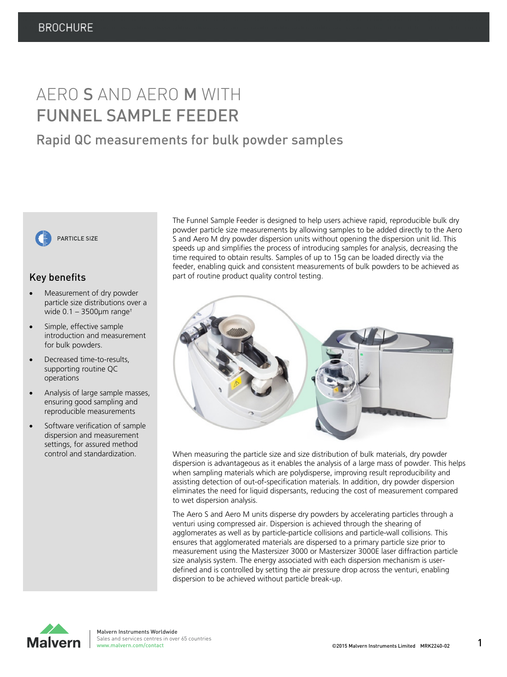# AERO S AND AERO M WITH FUNNEL SAMPLE FEEDER

## Rapid QC measurements for bulk powder samples



### Key benefits

- Measurement of dry powder particle size distributions over a wide  $0.1 - 3500 \mu m$  range<sup>+</sup>
- Simple, effective sample introduction and measurement for bulk powders.
- Decreased time-to-results, supporting routine QC operations
- Analysis of large sample masses, ensuring good sampling and reproducible measurements
- Software verification of sample dispersion and measurement settings, for assured method control and standardization.

The Funnel Sample Feeder is designed to help users achieve rapid, reproducible bulk dry powder particle size measurements by allowing samples to be added directly to the Aero S and Aero M dry powder dispersion units without opening the dispersion unit lid. This speeds up and simplifies the process of introducing samples for analysis, decreasing the time required to obtain results. Samples of up to 15g can be loaded directly via the feeder, enabling quick and consistent measurements of bulk powders to be achieved as part of routine product quality control testing.



When measuring the particle size and size distribution of bulk materials, dry powder dispersion is advantageous as it enables the analysis of a large mass of powder. This helps when sampling materials which are polydisperse, improving result reproducibility and assisting detection of out-of-specification materials. In addition, dry powder dispersion eliminates the need for liquid dispersants, reducing the cost of measurement compared to wet dispersion analysis.

The Aero S and Aero M units disperse dry powders by accelerating particles through a venturi using compressed air. Dispersion is achieved through the shearing of agglomerates as well as by particle-particle collisions and particle-wall collisions. This ensures that agglomerated materials are dispersed to a primary particle size prior to measurement using the Mastersizer 3000 or Mastersizer 3000E laser diffraction particle size analysis system. The energy associated with each dispersion mechanism is userdefined and is controlled by setting the air pressure drop across the venturi, enabling dispersion to be achieved without particle break-up.